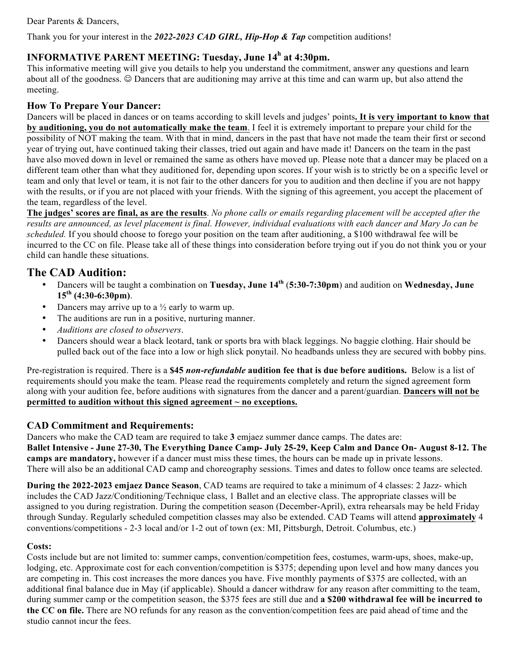Dear Parents & Dancers,

Thank you for your interest in the *2022-2023 CAD GIRL, Hip-Hop & Tap* competition auditions!

## **INFORMATIVE PARENT MEETING: Tuesday, June 14h at 4:30pm.**

This informative meeting will give you details to help you understand the commitment, answer any questions and learn about all of the goodness.  $\odot$  Dancers that are auditioning may arrive at this time and can warm up, but also attend the meeting.

## **How To Prepare Your Dancer:**

Dancers will be placed in dances or on teams according to skill levels and judges' points**. It is very important to know that by auditioning, you do not automatically make the team**. I feel it is extremely important to prepare your child for the possibility of NOT making the team. With that in mind, dancers in the past that have not made the team their first or second year of trying out, have continued taking their classes, tried out again and have made it! Dancers on the team in the past have also moved down in level or remained the same as others have moved up. Please note that a dancer may be placed on a different team other than what they auditioned for, depending upon scores. If your wish is to strictly be on a specific level or team and only that level or team, it is not fair to the other dancers for you to audition and then decline if you are not happy with the results, or if you are not placed with your friends. With the signing of this agreement, you accept the placement of the team, regardless of the level.

**The judges' scores are final, as are the results**. *No phone calls or emails regarding placement will be accepted after the results are announced, as level placement is final. However, individual evaluations with each dancer and Mary Jo can be scheduled.* If you should choose to forego your position on the team after auditioning, a \$100 withdrawal fee will be incurred to the CC on file. Please take all of these things into consideration before trying out if you do not think you or your child can handle these situations.

## **The CAD Audition:**

- Dancers will be taught a combination on **Tuesday, June 14th** (**5:30-7:30pm**) and audition on **Wednesday, June 15th (4:30-6:30pm)**.
- Dancers may arrive up to a  $\frac{1}{2}$  early to warm up.
- The auditions are run in a positive, nurturing manner.
- *Auditions are closed to observers*.
- Dancers should wear a black leotard, tank or sports bra with black leggings. No baggie clothing. Hair should be pulled back out of the face into a low or high slick ponytail. No headbands unless they are secured with bobby pins.

Pre-registration is required. There is a **\$45** *non-refundable* **audition fee that is due before auditions.** Below is a list of requirements should you make the team. Please read the requirements completely and return the signed agreement form along with your audition fee, before auditions with signatures from the dancer and a parent/guardian. **Dancers will not be permitted to audition without this signed agreement ~ no exceptions.**

### **CAD Commitment and Requirements:**

Dancers who make the CAD team are required to take **3** emjaez summer dance camps. The dates are: **Ballet Intensive - June 27-30, The Everything Dance Camp- July 25-29, Keep Calm and Dance On- August 8-12. The camps are mandatory,** however if a dancer must miss these times, the hours can be made up in private lessons. There will also be an additional CAD camp and choreography sessions. Times and dates to follow once teams are selected.

**During the 2022-2023 emjaez Dance Season**, CAD teams are required to take a minimum of 4 classes: 2 Jazz- which includes the CAD Jazz/Conditioning/Technique class, 1 Ballet and an elective class. The appropriate classes will be assigned to you during registration. During the competition season (December-April), extra rehearsals may be held Friday through Sunday. Regularly scheduled competition classes may also be extended. CAD Teams will attend **approximately** 4 conventions/competitions - 2-3 local and/or 1-2 out of town (ex: MI, Pittsburgh, Detroit. Columbus, etc.)

### **Costs:**

Costs include but are not limited to: summer camps, convention/competition fees, costumes, warm-ups, shoes, make-up, lodging, etc. Approximate cost for each convention/competition is \$375; depending upon level and how many dances you are competing in. This cost increases the more dances you have. Five monthly payments of \$375 are collected, with an additional final balance due in May (if applicable). Should a dancer withdraw for any reason after committing to the team, during summer camp or the competition season, the \$375 fees are still due and **a \$200 withdrawal fee will be incurred to the CC on file.** There are NO refunds for any reason as the convention/competition fees are paid ahead of time and the studio cannot incur the fees.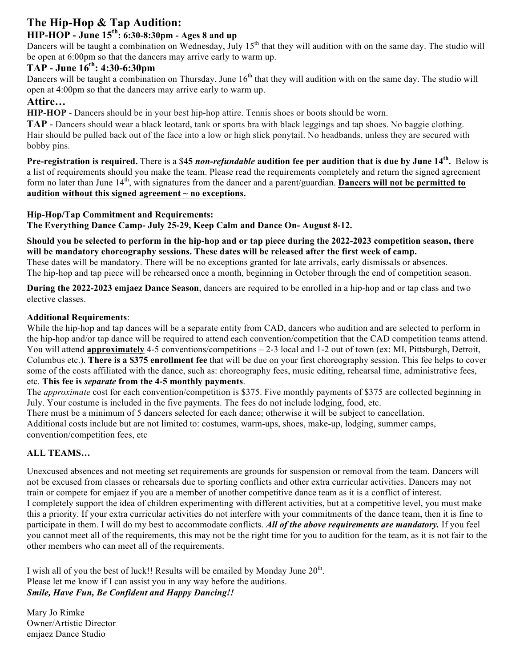# **The Hip-Hop & Tap Audition:**

# **HIP-HOP - June 15th: 6:30-8:30pm - Ages 8 and up**

Dancers will be taught a combination on Wednesday, July  $15<sup>th</sup>$  that they will audition with on the same day. The studio will be open at 6:00pm so that the dancers may arrive early to warm up.

## **TAP - June 16th: 4:30-6:30pm**

Dancers will be taught a combination on Thursday, June  $16<sup>th</sup>$  that they will audition with on the same day. The studio will open at 4:00pm so that the dancers may arrive early to warm up.

## **Attire…**

**HIP-HOP** - Dancers should be in your best hip-hop attire. Tennis shoes or boots should be worn.

**TAP** - Dancers should wear a black leotard, tank or sports bra with black leggings and tap shoes. No baggie clothing. Hair should be pulled back out of the face into a low or high slick ponytail. No headbands, unless they are secured with bobby pins.

**Pre-registration is required.** There is a \$**45** *non-refundable* **audition fee per audition that is due by June 14th.** Below is a list of requirements should you make the team. Please read the requirements completely and return the signed agreement form no later than June 14th, with signatures from the dancer and a parent/guardian. **Dancers will not be permitted to audition without this signed agreement ~ no exceptions.**

### **Hip-Hop/Tap Commitment and Requirements:**

**The Everything Dance Camp- July 25-29, Keep Calm and Dance On- August 8-12.**

**Should you be selected to perform in the hip-hop and or tap piece during the 2022-2023 competition season, there will be mandatory choreography sessions. These dates will be released after the first week of camp.**

These dates will be mandatory. There will be no exceptions granted for late arrivals, early dismissals or absences. The hip-hop and tap piece will be rehearsed once a month, beginning in October through the end of competition season.

**During the 2022-2023 emjaez Dance Season**, dancers are required to be enrolled in a hip-hop and or tap class and two elective classes.

### **Additional Requirements**:

While the hip-hop and tap dances will be a separate entity from CAD, dancers who audition and are selected to perform in the hip-hop and/or tap dance will be required to attend each convention/competition that the CAD competition teams attend. You will attend **approximately** 4-5 conventions/competitions – 2-3 local and 1-2 out of town (ex: MI, Pittsburgh, Detroit, Columbus etc.). **There is a \$375 enrollment fee** that will be due on your first choreography session. This fee helps to cover some of the costs affiliated with the dance, such as: choreography fees, music editing, rehearsal time, administrative fees, etc. **This fee is** *separate* **from the 4-5 monthly payments**.

The *approximate* cost for each convention/competition is \$375. Five monthly payments of \$375 are collected beginning in July. Your costume is included in the five payments. The fees do not include lodging, food, etc.

There must be a minimum of 5 dancers selected for each dance; otherwise it will be subject to cancellation. Additional costs include but are not limited to: costumes, warm-ups, shoes, make-up, lodging, summer camps, convention/competition fees, etc

### **ALL TEAMS…**

Unexcused absences and not meeting set requirements are grounds for suspension or removal from the team. Dancers will not be excused from classes or rehearsals due to sporting conflicts and other extra curricular activities. Dancers may not train or compete for emjaez if you are a member of another competitive dance team as it is a conflict of interest. I completely support the idea of children experimenting with different activities, but at a competitive level, you must make this a priority. If your extra curricular activities do not interfere with your commitments of the dance team, then it is fine to participate in them. I will do my best to accommodate conflicts. *All of the above requirements are mandatory.* If you feel you cannot meet all of the requirements, this may not be the right time for you to audition for the team, as it is not fair to the other members who can meet all of the requirements.

I wish all of you the best of luck!! Results will be emailed by Monday June  $20<sup>th</sup>$ . Please let me know if I can assist you in any way before the auditions. *Smile, Have Fun, Be Confident and Happy Dancing!!*

Mary Jo Rimke Owner/Artistic Director emjaez Dance Studio